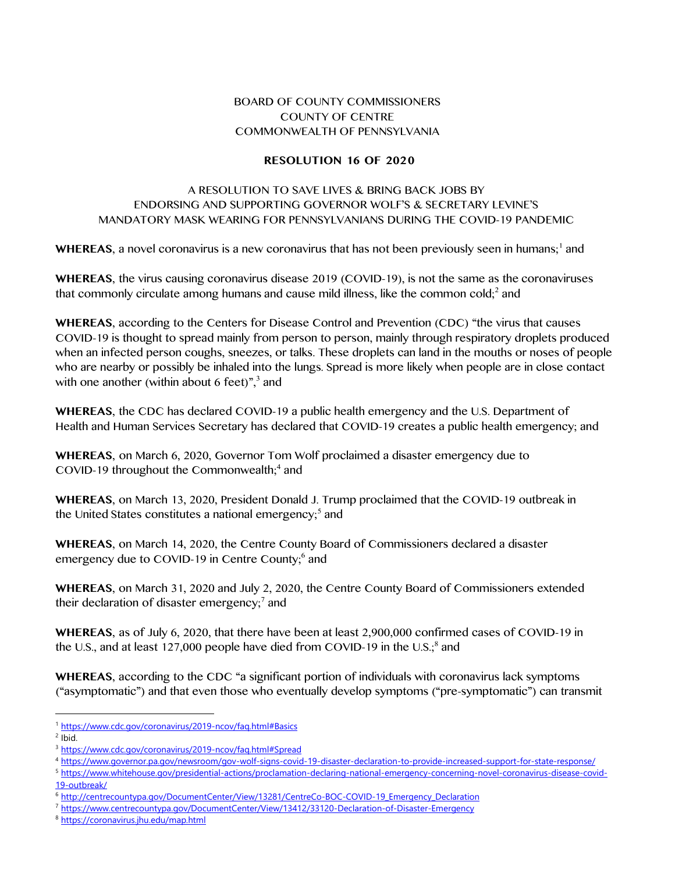## BOARD OF COUNTY COMMISSIONERS COUNTY OF CENTRE COMMONWEALTH OF PENNSYLVANIA

## **RESOLUTION 16 OF 2020**

## A RESOLUTION TO SAVE LIVES & BRING BACK JOBS BY ENDORSING AND SUPPORTING GOVERNOR WOLF'S & SECRETARY LEVINE'S MANDATORY MASK WEARING FOR PENNSYLVANIANS DURING THE COVID-19 PANDEMIC

WHEREAS, a novel coronavirus is a new coronavirus that has not been previously seen in humans;<sup>1</sup> and

**WHEREAS**, the virus causing coronavirus disease 2019 (COVID-19), is not the same as the coronaviruses that commonly circulate among humans and cause mild illness, like the common cold;<sup>2</sup> and

**WHEREAS**, according to the Centers for Disease Control and Prevention (CDC) "the virus that causes COVID-19 is thought to spread mainly from person to person, mainly through respiratory droplets produced when an infected person coughs, sneezes, or talks. These droplets can land in the mouths or noses of people who are nearby or possibly be inhaled into the lungs. Spread is more likely when people are in close contact with one another (within about 6 feet)", $3$  and

**WHEREAS**, the CDC has declared COVID-19 a public health emergency and the U.S. Department of Health and Human Services Secretary has declared that COVID-19 creates a public health emergency; and

**WHEREAS**, on March 6, 2020, Governor Tom Wolf proclaimed a disaster emergency due to COVID-19 throughout the Commonwealth;<sup>4</sup> and

**WHEREAS**, on March 13, 2020, President Donald J. Trump proclaimed that the COVID-19 outbreak in the United States constitutes a national emergency;<sup>5</sup> and

**WHEREAS**, on March 14, 2020, the Centre County Board of Commissioners declared a disaster emergency due to COVID-19 in Centre County;<sup>6</sup> and

**WHEREAS**, on March 31, 2020 and July 2, 2020, the Centre County Board of Commissioners extended their declaration of disaster emergency;<sup>7</sup> and

**WHEREAS**, as of July 6, 2020, that there have been at least 2,900,000 confirmed cases of COVID-19 in the U.S., and at least 127,000 people have died from COVID-19 in the U.S.;<sup>8</sup> and

**WHEREAS**, according to the CDC "a significant portion of individuals with coronavirus lack symptoms ("asymptomatic") and that even those who eventually develop symptoms ("pre-symptomatic") can transmit

<sup>1</sup> <https://www.cdc.gov/coronavirus/2019-ncov/faq.html#Basics>

 $2$  lbid.

<sup>3</sup> <https://www.cdc.gov/coronavirus/2019-ncov/faq.html#Spread>

<sup>4</sup> <https://www.governor.pa.gov/newsroom/gov-wolf-signs-covid-19-disaster-declaration-to-provide-increased-support-for-state-response/>

<sup>5</sup> [https://www.whitehouse.gov/presidential-actions/proclamation-declaring-national-emergency-concerning-novel-coronavirus-disease-covid-](https://www.whitehouse.gov/presidential-actions/proclamation-declaring-national-emergency-concerning-novel-coronavirus-disease-covid-19-outbreak/)[19-outbreak/](https://www.whitehouse.gov/presidential-actions/proclamation-declaring-national-emergency-concerning-novel-coronavirus-disease-covid-19-outbreak/)

<sup>6</sup> [http://centrecountypa.gov/DocumentCenter/View/13281/CentreCo-BOC-COVID-19\\_Emergency\\_Declaration](http://centrecountypa.gov/DocumentCenter/View/13281/CentreCo-BOC-COVID-19_Emergency_Declaration)

<sup>7</sup> <https://www.centrecountypa.gov/DocumentCenter/View/13412/33120-Declaration-of-Disaster-Emergency>

<sup>8</sup> <https://coronavirus.jhu.edu/map.html>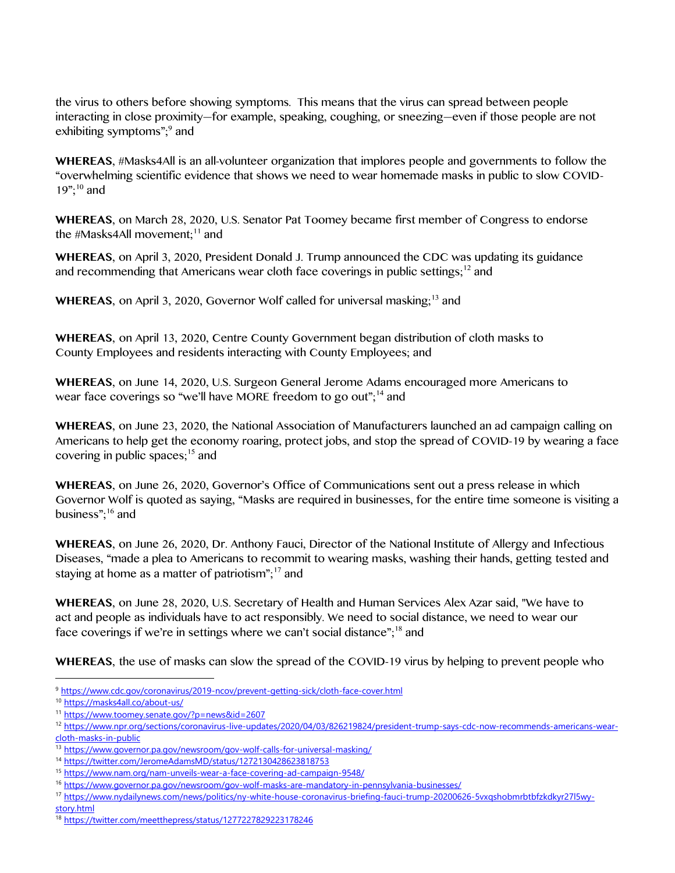the virus to others before showing symptoms. This means that the virus can spread between people interacting in close proximity—for example, speaking, coughing, or sneezing—even if those people are not exhibiting symptoms";<sup>9</sup> and

**WHEREAS**, #Masks4All is an all-volunteer organization that implores people and governments to follow the "overwhelming scientific evidence that shows we need to wear homemade masks in public to slow COVID- $19$ ";<sup>10</sup> and

**WHEREAS**, on March 28, 2020, U.S. Senator Pat Toomey became first member of Congress to endorse the #Masks4All movement; $11$  and

**WHEREAS**, on April 3, 2020, President Donald J. Trump announced the CDC was updating its guidance and recommending that Americans wear cloth face coverings in public settings;<sup>12</sup> and

WHEREAS, on April 3, 2020, Governor Wolf called for universal masking;<sup>13</sup> and

**WHEREAS**, on April 13, 2020, Centre County Government began distribution of cloth masks to County Employees and residents interacting with County Employees; and

**WHEREAS**, on June 14, 2020, U.S. Surgeon General Jerome Adams encouraged more Americans to wear face coverings so "we'll have MORE freedom to go out";<sup>14</sup> and

**WHEREAS**, on June 23, 2020, the National Association of Manufacturers launched an ad campaign calling on Americans to help get the economy roaring, protect jobs, and stop the spread of COVID-19 by wearing a face covering in public spaces;<sup>15</sup> and

**WHEREAS**, on June 26, 2020, Governor's Office of Communications sent out a press release in which Governor Wolf is quoted as saying, "Masks are required in businesses, for the entire time someone is visiting a business";<sup>16</sup> and

**WHEREAS**, on June 26, 2020, Dr. Anthony Fauci, Director of the National Institute of Allergy and Infectious Diseases, "made a plea to Americans to recommit to wearing masks, washing their hands, getting tested and staying at home as a matter of patriotism";<sup>17</sup> and

**WHEREAS**, on June 28, 2020, U.S. Secretary of Health and Human Services Alex Azar said, "We have to act and people as individuals have to act responsibly. We need to social distance, we need to wear our face coverings if we're in settings where we can't social distance";<sup>18</sup> and

**WHEREAS**, the use of masks can slow the spread of the COVID-19 virus by helping to prevent people who

<sup>9</sup> <https://www.cdc.gov/coronavirus/2019-ncov/prevent-getting-sick/cloth-face-cover.html>

<sup>10</sup> <https://masks4all.co/about-us/>

<sup>11</sup> <https://www.toomey.senate.gov/?p=news&id=2607>

<sup>&</sup>lt;sup>12</sup> [https://www.npr.org/sections/coronavirus-live-updates/2020/04/03/826219824/president-trump-says-cdc-now-recommends-americans-wear](https://www.npr.org/sections/coronavirus-live-updates/2020/04/03/826219824/president-trump-says-cdc-now-recommends-americans-wear-cloth-masks-in-public)[cloth-masks-in-public](https://www.npr.org/sections/coronavirus-live-updates/2020/04/03/826219824/president-trump-says-cdc-now-recommends-americans-wear-cloth-masks-in-public)

<sup>13</sup> <https://www.governor.pa.gov/newsroom/gov-wolf-calls-for-universal-masking/>

<sup>14</sup> <https://twitter.com/JeromeAdamsMD/status/1272130428623818753>

<sup>15</sup> <https://www.nam.org/nam-unveils-wear-a-face-covering-ad-campaign-9548/>

<sup>16</sup> <https://www.governor.pa.gov/newsroom/gov-wolf-masks-are-mandatory-in-pennsylvania-businesses/>

<sup>17</sup> [https://www.nydailynews.com/news/politics/ny-white-house-coronavirus-briefing-fauci-trump-20200626-5vxqshobmrbtbfzkdkyr27l5wy](https://www.nydailynews.com/news/politics/ny-white-house-coronavirus-briefing-fauci-trump-20200626-5vxqshobmrbtbfzkdkyr27l5wy-story.html)[story.html](https://www.nydailynews.com/news/politics/ny-white-house-coronavirus-briefing-fauci-trump-20200626-5vxqshobmrbtbfzkdkyr27l5wy-story.html)

<sup>18</sup> <https://twitter.com/meetthepress/status/1277227829223178246>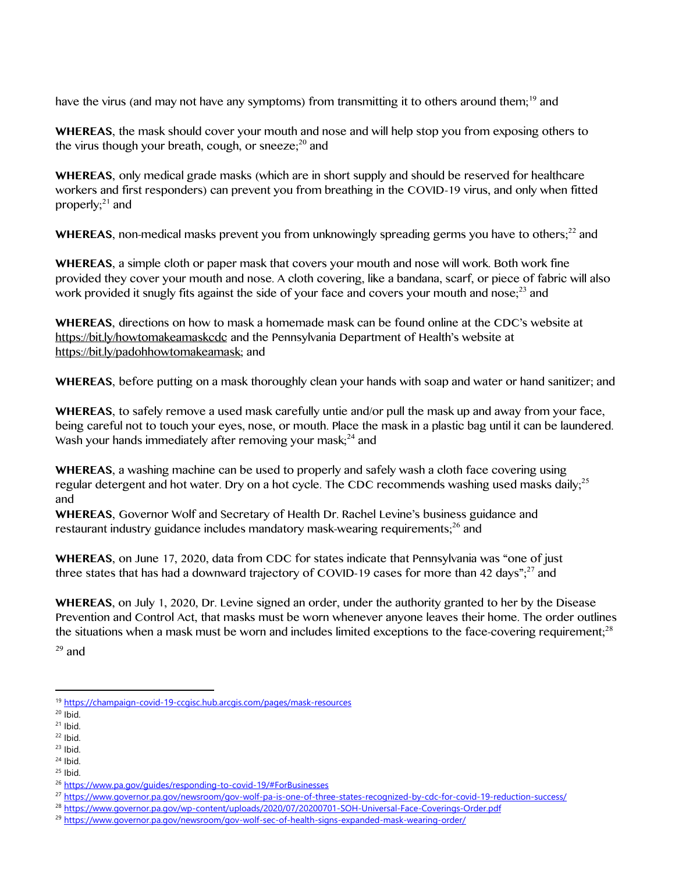have the virus (and may not have any symptoms) from transmitting it to others around them;<sup>19</sup> and

**WHEREAS**, the mask should cover your mouth and nose and will help stop you from exposing others to the virus though your breath, cough, or sneeze; $^{20}$  and

**WHEREAS**, only medical grade masks (which are in short supply and should be reserved for healthcare workers and first responders) can prevent you from breathing in the COVID-19 virus, and only when fitted properly; $21$  and

**WHEREAS**, non-medical masks prevent you from unknowingly spreading germs you have to others;<sup>22</sup> and

**WHEREAS**, a simple cloth or paper mask that covers your mouth and nose will work. Both work fine provided they cover your mouth and nose. A cloth covering, like a bandana, scarf, or piece of fabric will also work provided it snugly fits against the side of your face and covers your mouth and nose;<sup>23</sup> and

**WHEREAS**, directions on how to mask a homemade mask can be found online at the CDC's website at <https://bit.ly/howtomakeamaskcdc>and the Pennsylvania Department of Health's website at [https://bit.ly/padohhowtomakeamask;](https://bit.ly/padohhowtomakeamask) and

**WHEREAS**, before putting on a mask thoroughly clean your hands with soap and water or hand sanitizer; and

**WHEREAS**, to safely remove a used mask carefully untie and/or pull the mask up and away from your face, being careful not to touch your eyes, nose, or mouth. Place the mask in a plastic bag until it can be laundered. Wash your hands immediately after removing your mask; $^{24}$  and

**WHEREAS**, a washing machine can be used to properly and safely wash a cloth face covering using regular detergent and hot water. Dry on a hot cycle. The CDC recommends washing used masks daily;<sup>25</sup> and

**WHEREAS**, Governor Wolf and Secretary of Health Dr. Rachel Levine's business guidance and restaurant industry guidance includes mandatory mask-wearing requirements;<sup>26</sup> and

**WHEREAS**, on June 17, 2020, data from CDC for states indicate that Pennsylvania was "one of just three states that has had a downward trajectory of COVID-19 cases for more than 42 days";<sup>27</sup> and

**WHEREAS**, on July 1, 2020, Dr. Levine signed an order, under the authority granted to her by the Disease Prevention and Control Act, that masks must be worn whenever anyone leaves their home. The order outlines the situations when a mask must be worn and includes limited exceptions to the face-covering requirement;<sup>28</sup>

 $29$  and

<sup>19</sup> <https://champaign-covid-19-ccgisc.hub.arcgis.com/pages/mask-resources>

 $20$  Ibid.

 $21$  Ibid.  $22$  Ibid.

 $23$  Ibid.

 $24$  Ibid.

 $25$  Ibid.

<sup>26</sup> <https://www.pa.gov/guides/responding-to-covid-19/#ForBusinesses>

<sup>27</sup> <https://www.governor.pa.gov/newsroom/gov-wolf-pa-is-one-of-three-states-recognized-by-cdc-for-covid-19-reduction-success/>

<sup>28</sup> <https://www.governor.pa.gov/wp-content/uploads/2020/07/20200701-SOH-Universal-Face-Coverings-Order.pdf>

<sup>29</sup> <https://www.governor.pa.gov/newsroom/gov-wolf-sec-of-health-signs-expanded-mask-wearing-order/>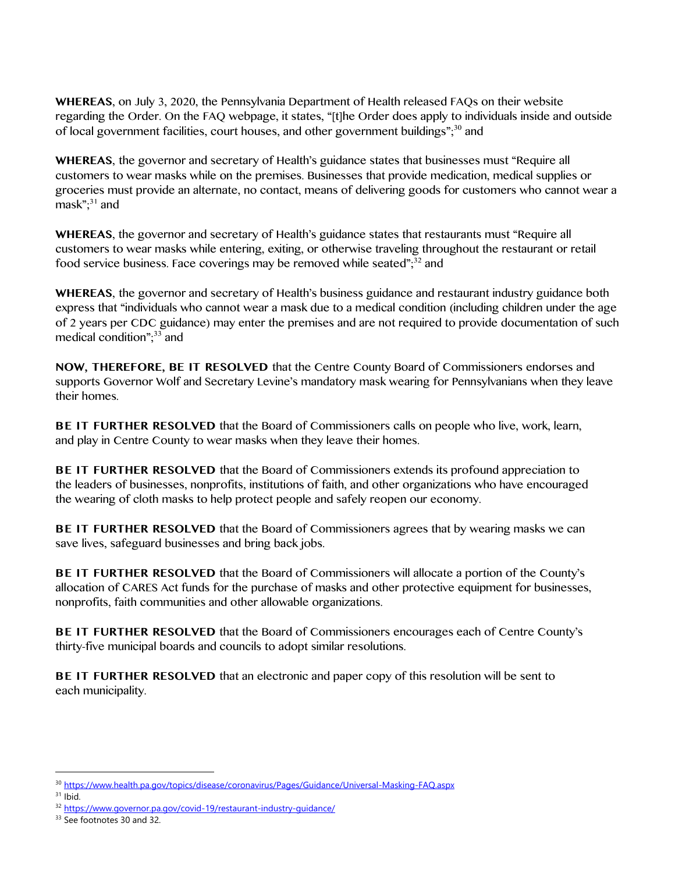**WHEREAS**, on July 3, 2020, the Pennsylvania Department of Health released FAQs on their website regarding the Order. On the FAQ webpage, it states, "[t]he Order does apply to individuals inside and outside of local government facilities, court houses, and other government buildings";<sup>30</sup> and

**WHEREAS**, the governor and secretary of Health's guidance states that businesses must "Require all customers to wear masks while on the premises. Businesses that provide medication, medical supplies or groceries must provide an alternate, no contact, means of delivering goods for customers who cannot wear a mask"; <sup>31</sup> and

**WHEREAS**, the governor and secretary of Health's guidance states that restaurants must "Require all customers to wear masks while entering, exiting, or otherwise traveling throughout the restaurant or retail food service business. Face coverings may be removed while seated"<sup>32</sup> and

**WHEREAS**, the governor and secretary of Health's business guidance and restaurant industry guidance both express that "individuals who cannot wear a mask due to a medical condition (including children under the age of 2 years per CDC guidance) may enter the premises and are not required to provide documentation of such medical condition"; $33$  and

**NOW, THEREFORE, BE IT RESOLVED** that the Centre County Board of Commissioners endorses and supports Governor Wolf and Secretary Levine's mandatory mask wearing for Pennsylvanians when they leave their homes.

**BE IT FURTHER RESOLVED** that the Board of Commissioners calls on people who live, work, learn, and play in Centre County to wear masks when they leave their homes.

**BE IT FURTHER RESOLVED** that the Board of Commissioners extends its profound appreciation to the leaders of businesses, nonprofits, institutions of faith, and other organizations who have encouraged the wearing of cloth masks to help protect people and safely reopen our economy.

**BE IT FURTHER RESOLVED** that the Board of Commissioners agrees that by wearing masks we can save lives, safeguard businesses and bring back jobs.

**BE IT FURTHER RESOLVED** that the Board of Commissioners will allocate a portion of the County's allocation of CARES Act funds for the purchase of masks and other protective equipment for businesses, nonprofits, faith communities and other allowable organizations.

**BE IT FURTHER RESOLVED** that the Board of Commissioners encourages each of Centre County's thirty-five municipal boards and councils to adopt similar resolutions.

**BE IT FURTHER RESOLVED** that an electronic and paper copy of this resolution will be sent to each municipality.

<sup>30</sup> <https://www.health.pa.gov/topics/disease/coronavirus/Pages/Guidance/Universal-Masking-FAQ.aspx>

 $31$  Ibid.

<sup>32</sup> <https://www.governor.pa.gov/covid-19/restaurant-industry-guidance/>

<sup>&</sup>lt;sup>33</sup> See footnotes 30 and 32.